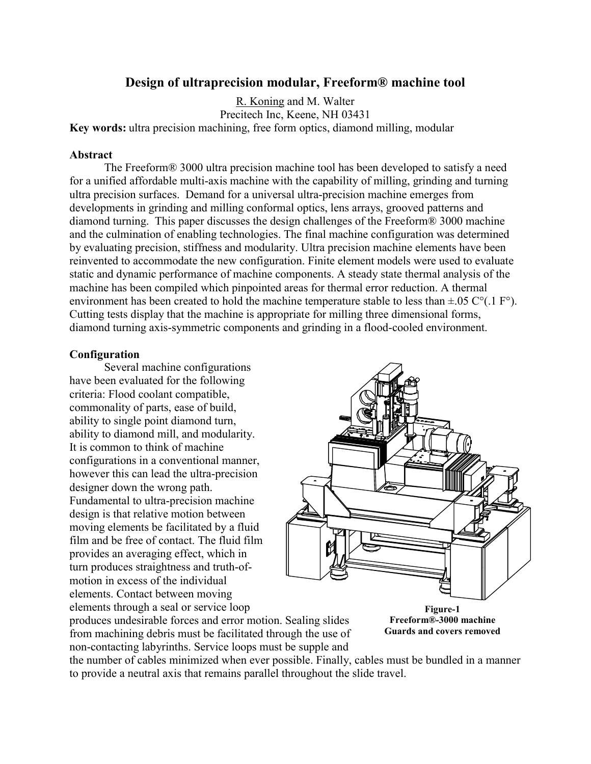# **Design of ultraprecision modular, Freeform® machine tool**

R. Koning and M. Walter

Precitech Inc, Keene, NH 03431 **Key words:** ultra precision machining, free form optics, diamond milling, modular

## **Abstract**

The Freeform® 3000 ultra precision machine tool has been developed to satisfy a need for a unified affordable multi-axis machine with the capability of milling, grinding and turning ultra precision surfaces. Demand for a universal ultra-precision machine emerges from developments in grinding and milling conformal optics, lens arrays, grooved patterns and diamond turning. This paper discusses the design challenges of the Freeform® 3000 machine and the culmination of enabling technologies. The final machine configuration was determined by evaluating precision, stiffness and modularity. Ultra precision machine elements have been reinvented to accommodate the new configuration. Finite element models were used to evaluate static and dynamic performance of machine components. A steady state thermal analysis of the machine has been compiled which pinpointed areas for thermal error reduction. A thermal environment has been created to hold the machine temperature stable to less than  $\pm .05 \degree$  C°(.1 F°). Cutting tests display that the machine is appropriate for milling three dimensional forms, diamond turning axis-symmetric components and grinding in a flood-cooled environment.

## **Configuration**

 Several machine configurations have been evaluated for the following criteria: Flood coolant compatible, commonality of parts, ease of build, ability to single point diamond turn, ability to diamond mill, and modularity. It is common to think of machine configurations in a conventional manner, however this can lead the ultra-precision designer down the wrong path. Fundamental to ultra-precision machine design is that relative motion between moving elements be facilitated by a fluid film and be free of contact. The fluid film provides an averaging effect, which in turn produces straightness and truth-ofmotion in excess of the individual elements. Contact between moving elements through a seal or service loop



produces undesirable forces and error motion. Sealing slides from machining debris must be facilitated through the use of non-contacting labyrinths. Service loops must be supple and

**Figure-1 Freeform®-3000 machine Guards and covers removed** 

the number of cables minimized when ever possible. Finally, cables must be bundled in a manner to provide a neutral axis that remains parallel throughout the slide travel.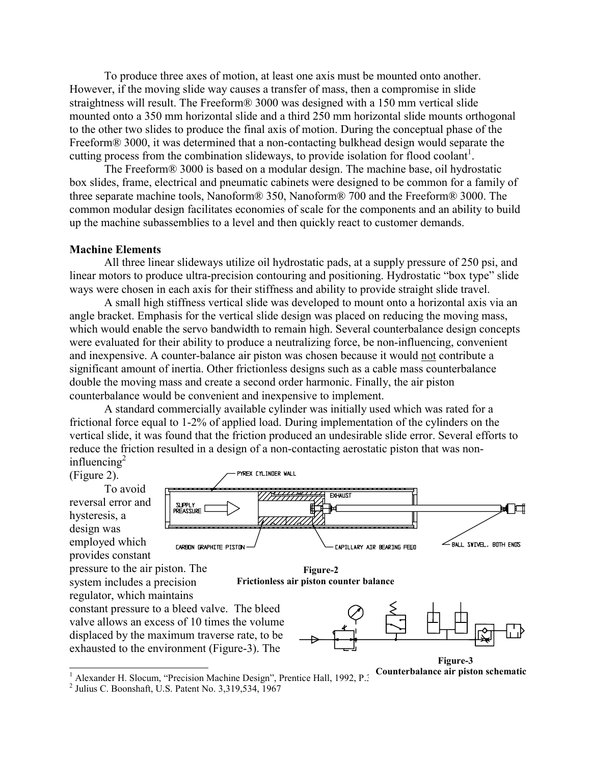To produce three axes of motion, at least one axis must be mounted onto another. However, if the moving slide way causes a transfer of mass, then a compromise in slide straightness will result. The Freeform® 3000 was designed with a 150 mm vertical slide mounted onto a 350 mm horizontal slide and a third 250 mm horizontal slide mounts orthogonal to the other two slides to produce the final axis of motion. During the conceptual phase of the Freeform<sup>®</sup> 3000, it was determined that a non-contacting bulkhead design would separate the cutting process from the combination slideways, to provide isolation for flood coolant<sup>1</sup>.

The Freeform® 3000 is based on a modular design. The machine base, oil hydrostatic box slides, frame, electrical and pneumatic cabinets were designed to be common for a family of three separate machine tools, Nanoform® 350, Nanoform® 700 and the Freeform® 3000. The common modular design facilitates economies of scale for the components and an ability to build up the machine subassemblies to a level and then quickly react to customer demands.

#### **Machine Elements**

 All three linear slideways utilize oil hydrostatic pads, at a supply pressure of 250 psi, and linear motors to produce ultra-precision contouring and positioning. Hydrostatic "box type" slide ways were chosen in each axis for their stiffness and ability to provide straight slide travel.

A small high stiffness vertical slide was developed to mount onto a horizontal axis via an angle bracket. Emphasis for the vertical slide design was placed on reducing the moving mass, which would enable the servo bandwidth to remain high. Several counterbalance design concepts were evaluated for their ability to produce a neutralizing force, be non-influencing, convenient and inexpensive. A counter-balance air piston was chosen because it would not contribute a significant amount of inertia. Other frictionless designs such as a cable mass counterbalance double the moving mass and create a second order harmonic. Finally, the air piston counterbalance would be convenient and inexpensive to implement.

A standard commercially available cylinder was initially used which was rated for a frictional force equal to 1-2% of applied load. During implementation of the cylinders on the vertical slide, it was found that the friction produced an undesirable slide error. Several efforts to reduce the friction resulted in a design of a non-contacting aerostatic piston that was noninfluencing $2$ 



<sup>&</sup>lt;sup>1</sup> Alexander H. Slocum, "Precision Machine Design", Prentice Hall, 1992, P.<sup>3</sup>

<sup>2</sup> Julius C. Boonshaft, U.S. Patent No. 3,319,534, 1967

**Counterbalance air piston schematic**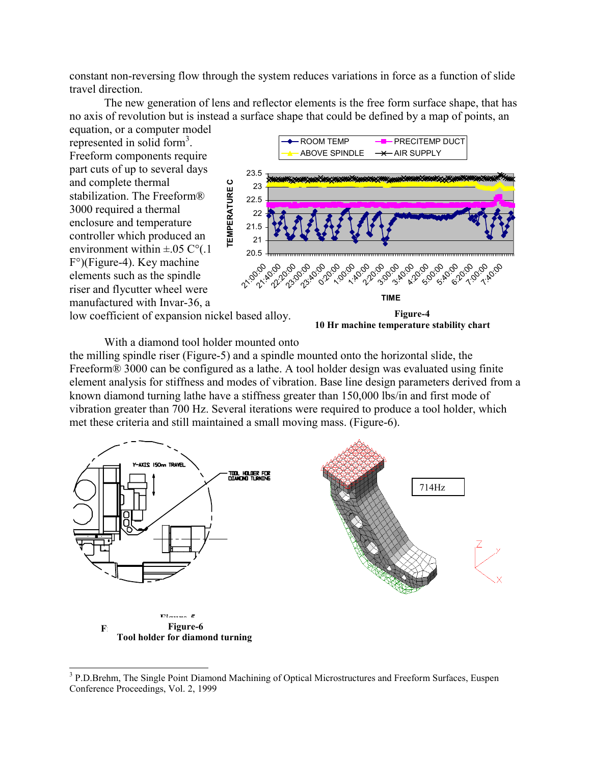constant non-reversing flow through the system reduces variations in force as a function of slide travel direction.

The new generation of lens and reflector elements is the free form surface shape, that has no axis of revolution but is instead a surface shape that could be defined by a map of points, an

equation, or a computer model represented in solid form<sup>3</sup>. Freeform components require part cuts of up to several days and complete thermal stabilization. The Freeform® 3000 required a thermal enclosure and temperature controller which produced an environment within  $\pm .05$  C°(.1) F°)(Figure-4). Key machine elements such as the spindle riser and flycutter wheel were manufactured with Invar-36, a



**10 Hr machine temperature stability chart** 

With a diamond tool holder mounted onto

the milling spindle riser (Figure-5) and a spindle mounted onto the horizontal slide, the Freeform<sup>®</sup> 3000 can be configured as a lathe. A tool holder design was evaluated using finite element analysis for stiffness and modes of vibration. Base line design parameters derived from a known diamond turning lathe have a stiffness greater than 150,000 lbs/in and first mode of vibration greater than 700 Hz. Several iterations were required to produce a tool holder, which met these criteria and still maintained a small moving mass. (Figure-6).



 $\overline{a}$ <sup>3</sup> P.D.Brehm, The Single Point Diamond Machining of Optical Microstructures and Freeform Surfaces, Euspen Conference Proceedings, Vol. 2, 1999